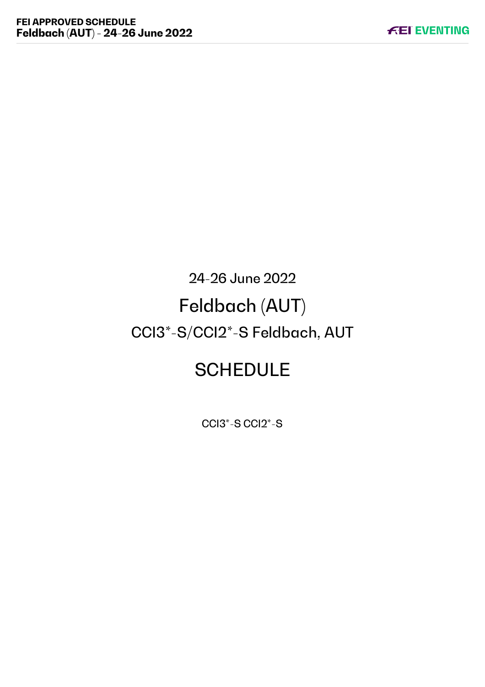# 24-26 June 2022 Feldbach (AUT) CCI3\*-S/CCI2\*-S Feldbach, AUT

# **SCHEDULE**

CCI3\*-S CCI2\*-S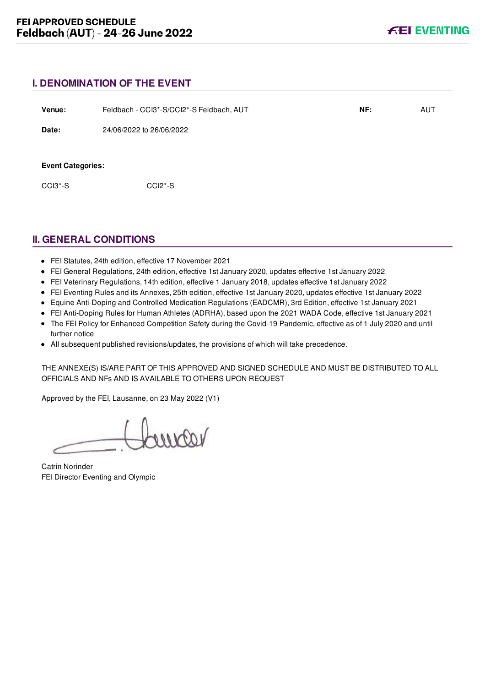# **I. DENOMINATION OF THE EVENT**

| Venue:                   | Feldbach - CCl3*-S/CCl2*-S Feldbach, AUT | NF: | <b>AUT</b> |
|--------------------------|------------------------------------------|-----|------------|
| Date:                    | 24/06/2022 to 26/06/2022                 |     |            |
| <b>Event Categories:</b> |                                          |     |            |
| CCI3*-S                  | $CCI2*-S$                                |     |            |
|                          |                                          |     |            |

# **II. GENERAL CONDITIONS**

- FEI Statutes, 24th edition, effective 17 November 2021
- FEI General Regulations, 24th edition, effective 1st January 2020, updates effective 1st January 2022
- FEI Veterinary Regulations, 14th edition, effective 1 January 2018, updates effective 1st January 2022
- FEI Eventing Rules and its Annexes, 25th edition, effective 1st January 2020, updates effective 1st January 2022
- Equine Anti-Doping and Controlled Medication Regulations (EADCMR), 3rd Edition, effective 1st January 2021
- FEI Anti-Doping Rules for Human Athletes (ADRHA), based upon the 2021 WADA Code, effective 1st January 2021
- The FEI Policy for Enhanced Competition Safety during the Covid-19 Pandemic, effective as of 1 July 2020 and until further notice
- All subsequent published revisions/updates, the provisions of which will take precedence.

THE ANNEXE(S) IS/ARE PART OF THIS APPROVED AND SIGNED SCHEDULE AND MUST BE DISTRIBUTED TO ALL OFFICIALS AND NFs AND IS AVAILABLE TO OTHERS UPON REQUEST

Approved by the FEI, Lausanne, on 23 May 2022 (V1)

voorno

Catrin Norinder FEI Director Eventing and Olympic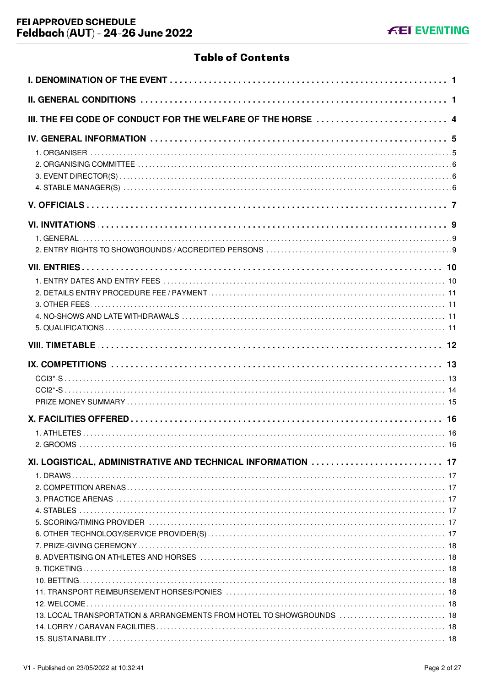# **Table of Contents**

| III. THE FEI CODE OF CONDUCT FOR THE WELFARE OF THE HORSE  4          |  |
|-----------------------------------------------------------------------|--|
|                                                                       |  |
|                                                                       |  |
|                                                                       |  |
|                                                                       |  |
|                                                                       |  |
|                                                                       |  |
|                                                                       |  |
|                                                                       |  |
|                                                                       |  |
| XI. LOGISTICAL, ADMINISTRATIVE AND TECHNICAL INFORMATION  17          |  |
|                                                                       |  |
|                                                                       |  |
|                                                                       |  |
| 13. LOCAL TRANSPORTATION & ARRANGEMENTS FROM HOTEL TO SHOWGROUNDS  18 |  |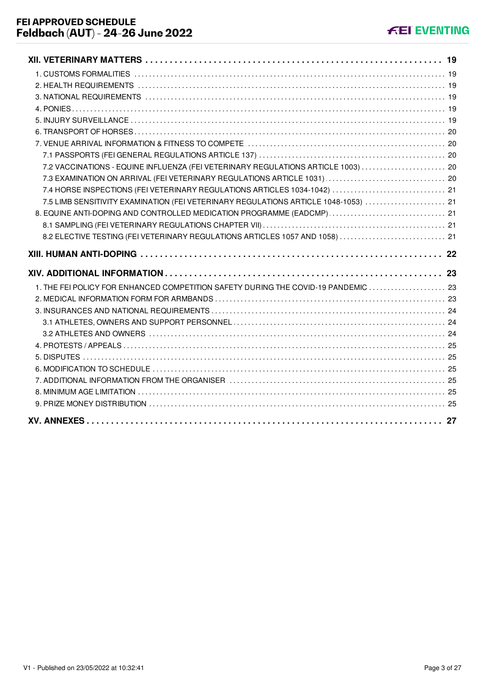| 7.2 VACCINATIONS - EQUINE INFLUENZA (FEI VETERINARY REGULATIONS ARTICLE 1003)  20   |  |
|-------------------------------------------------------------------------------------|--|
|                                                                                     |  |
| 7.4 HORSE INSPECTIONS (FEI VETERINARY REGULATIONS ARTICLES 1034-1042)  21           |  |
| 7.5 LIMB SENSITIVITY EXAMINATION (FEI VETERINARY REGULATIONS ARTICLE 1048-1053)  21 |  |
| 8. EQUINE ANTI-DOPING AND CONTROLLED MEDICATION PROGRAMME (EADCMP)  21              |  |
|                                                                                     |  |
| 8.2 ELECTIVE TESTING (FEI VETERINARY REGULATIONS ARTICLES 1057 AND 1058)  21        |  |
|                                                                                     |  |
|                                                                                     |  |
|                                                                                     |  |
| 1. THE FEI POLICY FOR ENHANCED COMPETITION SAFETY DURING THE COVID-19 PANDEMIC  23  |  |
|                                                                                     |  |
|                                                                                     |  |
|                                                                                     |  |
|                                                                                     |  |
|                                                                                     |  |
|                                                                                     |  |
|                                                                                     |  |
|                                                                                     |  |
|                                                                                     |  |
|                                                                                     |  |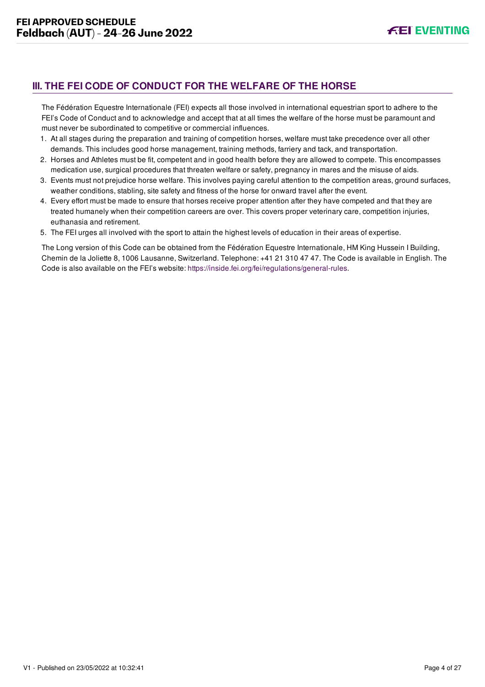# <span id="page-4-0"></span>**III. THE FEI CODE OF CONDUCT FOR THE WELFARE OF THE HORSE**

The Fédération Equestre Internationale (FEI) expects all those involved in international equestrian sport to adhere to the FEI's Code of Conduct and to acknowledge and accept that at all times the welfare of the horse must be paramount and must never be subordinated to competitive or commercial influences.

- 1. At all stages during the preparation and training of competition horses, welfare must take precedence over all other demands. This includes good horse management, training methods, farriery and tack, and transportation.
- 2. Horses and Athletes must be fit, competent and in good health before they are allowed to compete. This encompasses medication use, surgical procedures that threaten welfare or safety, pregnancy in mares and the misuse of aids.
- 3. Events must not prejudice horse welfare. This involves paying careful attention to the competition areas, ground surfaces, weather conditions, stabling, site safety and fitness of the horse for onward travel after the event.
- 4. Every effort must be made to ensure that horses receive proper attention after they have competed and that they are treated humanely when their competition careers are over. This covers proper veterinary care, competition injuries, euthanasia and retirement.
- 5. The FEI urges all involved with the sport to attain the highest levels of education in their areas of expertise.

The Long version of this Code can be obtained from the Fédération Equestre Internationale, HM King Hussein I Building, Chemin de la Joliette 8, 1006 Lausanne, Switzerland. Telephone: +41 21 310 47 47. The Code is available in English. The Code is also available on the FEI's website:<https://inside.fei.org/fei/regulations/general-rules>.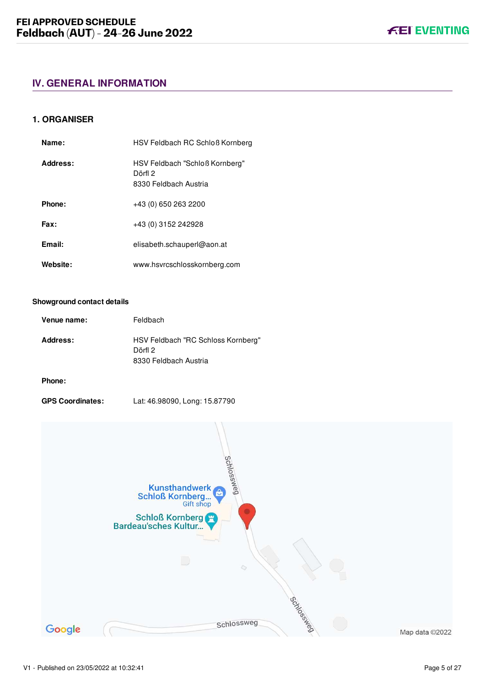# <span id="page-5-0"></span>**IV. GENERAL INFORMATION**

# <span id="page-5-1"></span>**1. ORGANISER**

| Name:    | HSV Feldbach RC Schloß Kornberg                                    |
|----------|--------------------------------------------------------------------|
| Address: | HSV Feldbach "Schloß Kornberg"<br>Dörfl 2<br>8330 Feldbach Austria |
| Phone:   | +43 (0) 650 263 2200                                               |
| Fax:     | +43 (0) 3152 242928                                                |
| Email:   | elisabeth.schauperl@aon.at                                         |
| Website: | www.hsvrcschlosskornberg.com                                       |

#### **Showground contact details**

|                                                                                    | Venue name: |
|------------------------------------------------------------------------------------|-------------|
| Address:<br>HSV Feldbach "RC Schloss Kornberg"<br>Dörfl 2<br>8330 Feldbach Austria |             |

# **Phone:**

**GPS Coordinates:** Lat: 46.98090, Long: 15.87790



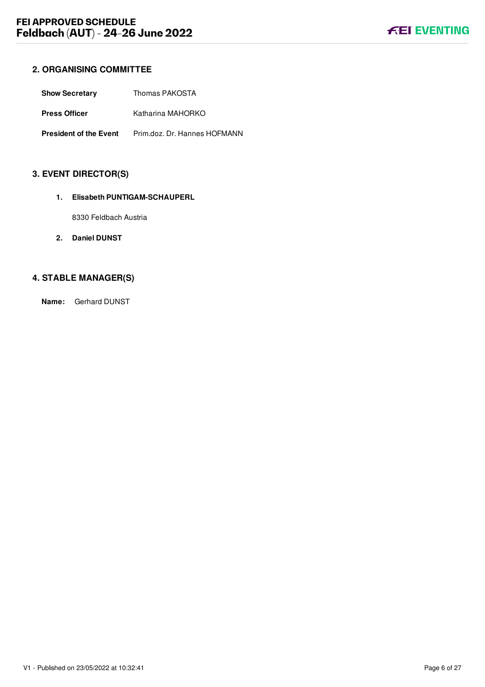# <span id="page-6-0"></span>**2. ORGANISING COMMITTEE**

| <b>Show Secretary</b>         | Thomas PAKOSTA               |
|-------------------------------|------------------------------|
| <b>Press Officer</b>          | Katharina MAHORKO            |
| <b>President of the Event</b> | Prim.doz. Dr. Hannes HOFMANN |

# <span id="page-6-1"></span>**3. EVENT DIRECTOR(S)**

## **1. Elisabeth PUNTIGAM-SCHAUPERL**

8330 Feldbach Austria

**2. Daniel DUNST**

# <span id="page-6-2"></span>**4. STABLE MANAGER(S)**

**Name:** Gerhard DUNST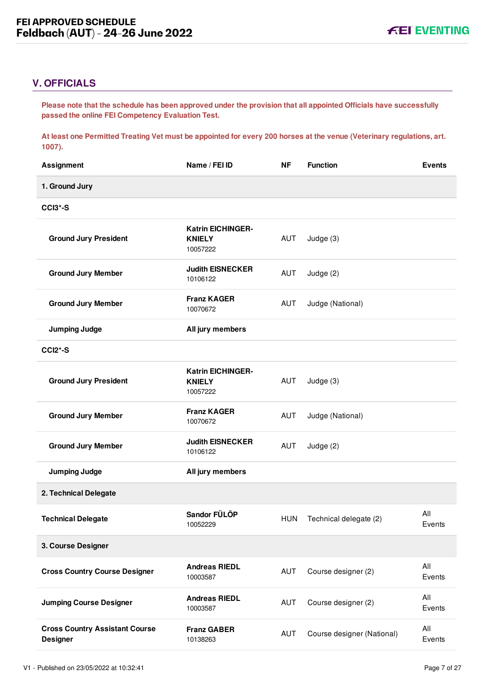# <span id="page-7-0"></span>**V. OFFICIALS**

**Please note that the schedule has been approved under the provision that all appointed Officials have successfully passed the online FEI Competency Evaluation Test.** 

**At least one Permitted Treating Vet must be appointed for every 200 horses at the venue (Veterinary regulations, art. 1007).**

| <b>Assignment</b>                                        | Name / FEI ID                                         | <b>NF</b>  | <b>Function</b>            | <b>Events</b> |
|----------------------------------------------------------|-------------------------------------------------------|------------|----------------------------|---------------|
| 1. Ground Jury                                           |                                                       |            |                            |               |
| CCI3*-S                                                  |                                                       |            |                            |               |
| <b>Ground Jury President</b>                             | <b>Katrin EICHINGER-</b><br><b>KNIELY</b><br>10057222 | AUT        | Judge $(3)$                |               |
| <b>Ground Jury Member</b>                                | <b>Judith EISNECKER</b><br>10106122                   | AUT        | Judge (2)                  |               |
| <b>Ground Jury Member</b>                                | <b>Franz KAGER</b><br>10070672                        | AUT        | Judge (National)           |               |
| <b>Jumping Judge</b>                                     | All jury members                                      |            |                            |               |
| <b>CCI2*-S</b>                                           |                                                       |            |                            |               |
| <b>Ground Jury President</b>                             | <b>Katrin EICHINGER-</b><br><b>KNIELY</b><br>10057222 | AUT        | Judge (3)                  |               |
| <b>Ground Jury Member</b>                                | <b>Franz KAGER</b><br>10070672                        | AUT        | Judge (National)           |               |
| <b>Ground Jury Member</b>                                | <b>Judith EISNECKER</b><br>10106122                   | AUT        | Judge (2)                  |               |
| <b>Jumping Judge</b>                                     | All jury members                                      |            |                            |               |
| 2. Technical Delegate                                    |                                                       |            |                            |               |
| <b>Technical Delegate</b>                                | Sandor FÜLÖP<br>10052229                              | <b>HUN</b> | Technical delegate (2)     | All<br>Events |
| 3. Course Designer                                       |                                                       |            |                            |               |
| <b>Cross Country Course Designer</b>                     | <b>Andreas RIEDL</b><br>10003587                      | <b>AUT</b> | Course designer (2)        | All<br>Events |
| <b>Jumping Course Designer</b>                           | <b>Andreas RIEDL</b><br>10003587                      | <b>AUT</b> | Course designer (2)        | All<br>Events |
| <b>Cross Country Assistant Course</b><br><b>Designer</b> | <b>Franz GABER</b><br>10138263                        | <b>AUT</b> | Course designer (National) | All<br>Events |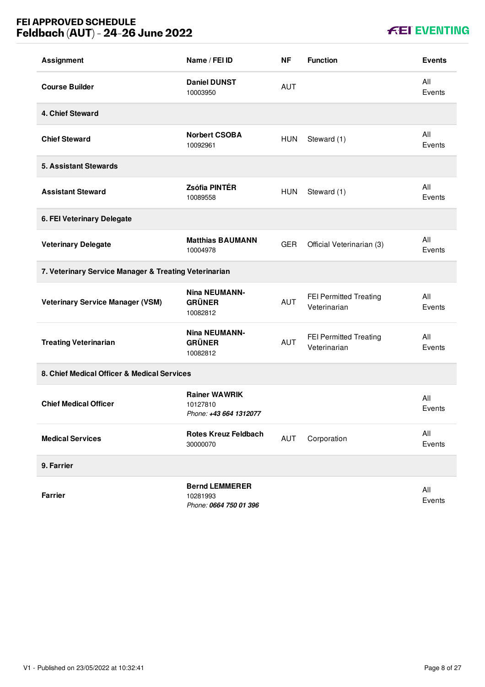# **FEI APPROVED SCHEDULE Feldbach (AUT) - 24-26 June 2022**

| <b>Assignment</b>                                     | Name / FEI ID                                               | <b>NF</b>  | <b>Function</b>                        | <b>Events</b> |
|-------------------------------------------------------|-------------------------------------------------------------|------------|----------------------------------------|---------------|
| <b>Course Builder</b>                                 | <b>Daniel DUNST</b><br>10003950                             | <b>AUT</b> |                                        | All<br>Events |
| 4. Chief Steward                                      |                                                             |            |                                        |               |
| <b>Chief Steward</b>                                  | <b>Norbert CSOBA</b><br>10092961                            | <b>HUN</b> | Steward (1)                            | All<br>Events |
| <b>5. Assistant Stewards</b>                          |                                                             |            |                                        |               |
| <b>Assistant Steward</b>                              | Zsófia PINTÉR<br>10089558                                   | <b>HUN</b> | Steward (1)                            | All<br>Events |
| 6. FEI Veterinary Delegate                            |                                                             |            |                                        |               |
| <b>Veterinary Delegate</b>                            | <b>Matthias BAUMANN</b><br>10004978                         | <b>GER</b> | Official Veterinarian (3)              | All<br>Events |
| 7. Veterinary Service Manager & Treating Veterinarian |                                                             |            |                                        |               |
| <b>Veterinary Service Manager (VSM)</b>               | <b>Nina NEUMANN-</b><br><b>GRÜNER</b><br>10082812           | AUT        | FEI Permitted Treating<br>Veterinarian | All<br>Events |
| <b>Treating Veterinarian</b>                          | <b>Nina NEUMANN-</b><br><b>GRÜNER</b><br>10082812           | <b>AUT</b> | FEI Permitted Treating<br>Veterinarian | All<br>Events |
| 8. Chief Medical Officer & Medical Services           |                                                             |            |                                        |               |
| <b>Chief Medical Officer</b>                          | <b>Rainer WAWRIK</b><br>10127810<br>Phone: +43 664 1312077  |            |                                        | All<br>Events |
| <b>Medical Services</b>                               | <b>Rotes Kreuz Feldbach</b><br>30000070                     | AUT        | Corporation                            | All<br>Events |
| 9. Farrier                                            |                                                             |            |                                        |               |
| <b>Farrier</b>                                        | <b>Bernd LEMMERER</b><br>10281993<br>Phone: 0664 750 01 396 |            |                                        | All<br>Events |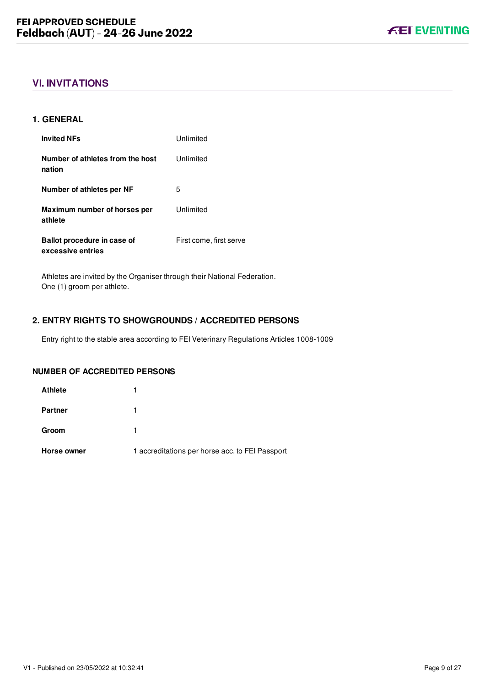# <span id="page-9-0"></span>**VI. INVITATIONS**

# <span id="page-9-1"></span>**1. GENERAL**

| <b>Invited NFs</b>                               | Unlimited               |
|--------------------------------------------------|-------------------------|
| Number of athletes from the host<br>nation       | Unlimited               |
| Number of athletes per NF                        | 5                       |
| Maximum number of horses per<br>athlete          | Unlimited               |
| Ballot procedure in case of<br>excessive entries | First come, first serve |

Athletes are invited by the Organiser through their National Federation. One (1) groom per athlete.

# <span id="page-9-2"></span>**2. ENTRY RIGHTS TO SHOWGROUNDS / ACCREDITED PERSONS**

Entry right to the stable area according to FEI Veterinary Regulations Articles 1008-1009

# **NUMBER OF ACCREDITED PERSONS**

| Horse owner    | 1 accreditations per horse acc. to FEI Passport |
|----------------|-------------------------------------------------|
| Groom          |                                                 |
| <b>Partner</b> |                                                 |
| <b>Athlete</b> |                                                 |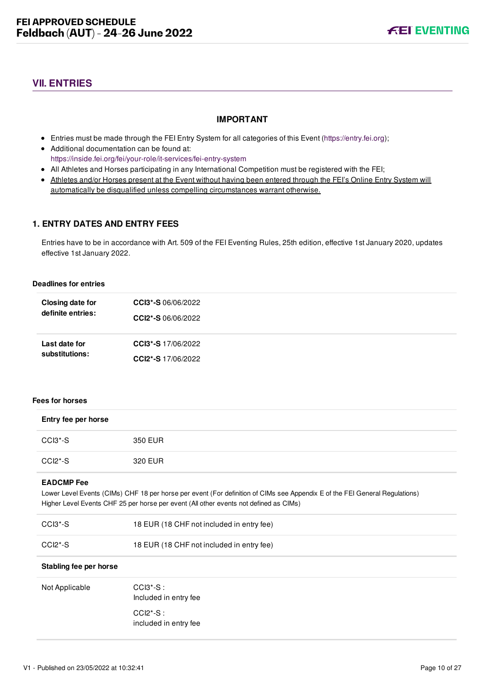# <span id="page-10-0"></span>**VII. ENTRIES**

# **IMPORTANT**

- Entries must be made through the FEI Entry System for all categories of this Event ([https://entry.fei.org\)](https://entry.fei.org);
- Additional documentation can be found at: <https://inside.fei.org/fei/your-role/it-services/fei-entry-system>
- All Athletes and Horses participating in any International Competition must be registered with the FEI;
- Athletes and/or Horses present at the Event without having been entered through the FEI's Online Entry System will automatically be disqualified unless compelling circumstances warrant otherwise.

# <span id="page-10-1"></span>**1. ENTRY DATES AND ENTRY FEES**

Entries have to be in accordance with Art. 509 of the FEI Eventing Rules, 25th edition, effective 1st January 2020, updates effective 1st January 2022.

#### **Deadlines for entries**

| Closing date for  | <b>CCI3*-S</b> 06/06/2022 |
|-------------------|---------------------------|
| definite entries: | CCI2*-S 06/06/2022        |
| Last date for     | <b>CCI3*-S</b> 17/06/2022 |
| substitutions:    | <b>CCI2*-S</b> 17/06/2022 |

#### **Fees for horses**

| Entry fee per horse              |                                                                                                                                                                                                                      |
|----------------------------------|----------------------------------------------------------------------------------------------------------------------------------------------------------------------------------------------------------------------|
| $CCI3*-S$                        | 350 EUR                                                                                                                                                                                                              |
| $CCI2*-S$                        | 320 EUR                                                                                                                                                                                                              |
| <b>EADCMP</b> Fee                | Lower Level Events (CIMs) CHF 18 per horse per event (For definition of CIMs see Appendix E of the FEI General Regulations)<br>Higher Level Events CHF 25 per horse per event (All other events not defined as CIMs) |
| CCI <sub>3</sub> <sup>*</sup> -S | 18 EUR (18 CHF not included in entry fee)                                                                                                                                                                            |
| $CCI2*-S$                        | 18 EUR (18 CHF not included in entry fee)                                                                                                                                                                            |
| Stabling fee per horse           |                                                                                                                                                                                                                      |
| Not Applicable                   | $CCI3*-S$ :<br>Included in entry fee                                                                                                                                                                                 |
|                                  | $CCI2*-S$ :<br>included in entry fee                                                                                                                                                                                 |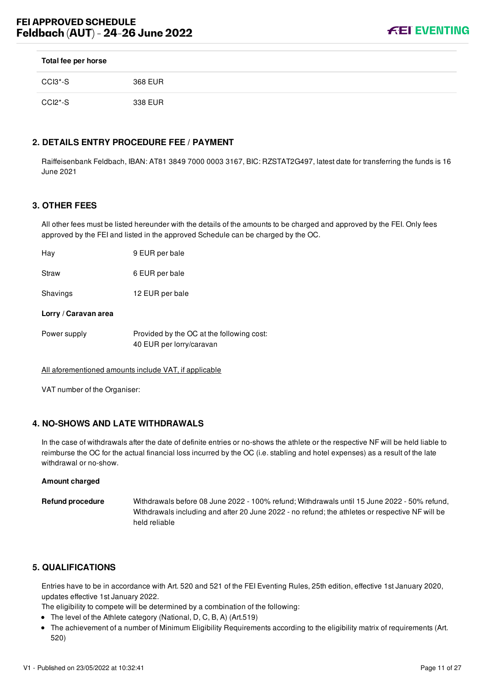

| Total fee per horse |         |
|---------------------|---------|
| CCI3*-S             | 368 EUR |
| CCI2*-S             | 338 EUR |

# <span id="page-11-0"></span>**2. DETAILS ENTRY PROCEDURE FEE / PAYMENT**

Raiffeisenbank Feldbach, IBAN: AT81 3849 7000 0003 3167, BIC: RZSTAT2G497, latest date for transferring the funds is 16 June 2021

# <span id="page-11-1"></span>**3. OTHER FEES**

All other fees must be listed hereunder with the details of the amounts to be charged and approved by the FEI. Only fees approved by the FEI and listed in the approved Schedule can be charged by the OC.

Hay 9 EUR per bale

Straw 6 EUR per bale

Shavings 12 EUR per bale

#### **Lorry / Caravan area**

| Power supply | Provided by the OC at the following cost: |
|--------------|-------------------------------------------|
|              | 40 EUR per lorry/caravan                  |

All aforementioned amounts include VAT, if applicable

VAT number of the Organiser:

# <span id="page-11-2"></span>**4. NO-SHOWS AND LATE WITHDRAWALS**

In the case of withdrawals after the date of definite entries or no-shows the athlete or the respective NF will be held liable to reimburse the OC for the actual financial loss incurred by the OC (i.e. stabling and hotel expenses) as a result of the late withdrawal or no-show.

#### **Amount charged**

| Refund procedure | Withdrawals before 08 June 2022 - 100% refund; Withdrawals until 15 June 2022 - 50% refund,     |
|------------------|-------------------------------------------------------------------------------------------------|
|                  | Withdrawals including and after 20 June 2022 - no refund; the athletes or respective NF will be |
|                  | held reliable                                                                                   |

# <span id="page-11-3"></span>**5. QUALIFICATIONS**

Entries have to be in accordance with Art. 520 and 521 of the FEI Eventing Rules, 25th edition, effective 1st January 2020, updates effective 1st January 2022.

The eligibility to compete will be determined by a combination of the following:

- The level of the Athlete category (National, D, C, B, A) (Art.519)
- The achievement of a number of Minimum Eligibility Requirements according to the eligibility matrix of requirements (Art. 520)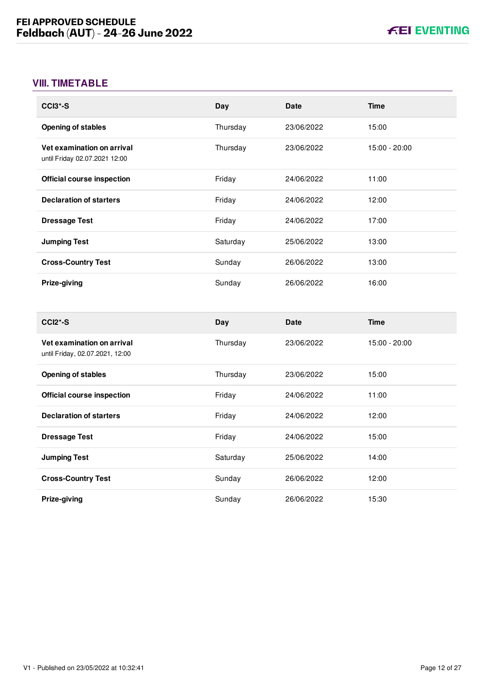# <span id="page-12-0"></span>**VIII. TIMETABLE**

| CCI <sub>3</sub> *-S                                        | Day      | <b>Date</b> | <b>Time</b>   |
|-------------------------------------------------------------|----------|-------------|---------------|
| <b>Opening of stables</b>                                   | Thursday | 23/06/2022  | 15:00         |
| Vet examination on arrival<br>until Friday 02.07.2021 12:00 | Thursday | 23/06/2022  | 15:00 - 20:00 |
| <b>Official course inspection</b>                           | Friday   | 24/06/2022  | 11:00         |
| <b>Declaration of starters</b>                              | Friday   | 24/06/2022  | 12:00         |
| <b>Dressage Test</b>                                        | Friday   | 24/06/2022  | 17:00         |
| <b>Jumping Test</b>                                         | Saturday | 25/06/2022  | 13:00         |
| <b>Cross-Country Test</b>                                   | Sunday   | 26/06/2022  | 13:00         |
| Prize-giving                                                | Sunday   | 26/06/2022  | 16:00         |

| $CCI2*-S$                                                     | Day      | <b>Date</b> | Time          |
|---------------------------------------------------------------|----------|-------------|---------------|
| Vet examination on arrival<br>until Friday, 02.07.2021, 12:00 | Thursday | 23/06/2022  | 15:00 - 20:00 |
| <b>Opening of stables</b>                                     | Thursday | 23/06/2022  | 15:00         |
| <b>Official course inspection</b>                             | Friday   | 24/06/2022  | 11:00         |
| <b>Declaration of starters</b>                                | Friday   | 24/06/2022  | 12:00         |
| <b>Dressage Test</b>                                          | Friday   | 24/06/2022  | 15:00         |
| <b>Jumping Test</b>                                           | Saturday | 25/06/2022  | 14:00         |
| <b>Cross-Country Test</b>                                     | Sunday   | 26/06/2022  | 12:00         |
| Prize-giving                                                  | Sunday   | 26/06/2022  | 15:30         |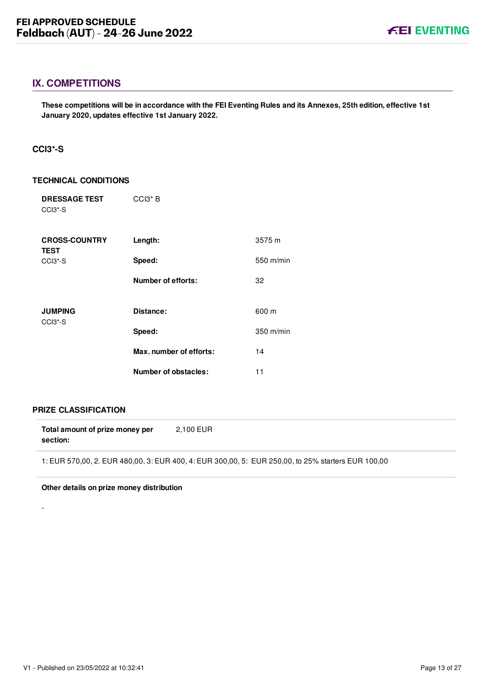# <span id="page-13-0"></span>**IX. COMPETITIONS**

**These competitions will be in accordance with the FEI Eventing Rules and its Annexes, 25th edition, effective 1st January 2020, updates effective 1st January 2022.**

# <span id="page-13-1"></span>**CCI3\*-S**

#### **TECHNICAL CONDITIONS**

| <b>DRESSAGE TEST</b><br>CCI <sub>3</sub> <sup>*</sup> -S | CCI3 <sup>*</sup> B         |           |
|----------------------------------------------------------|-----------------------------|-----------|
| <b>CROSS-COUNTRY</b><br><b>TEST</b>                      | Length:                     | 3575 m    |
| CCI <sub>3</sub> <sup>*</sup> -S                         | Speed:                      | 550 m/min |
|                                                          | Number of efforts:          | 32        |
| <b>JUMPING</b><br>CCI <sub>3</sub> <sup>*</sup> -S       | Distance:                   | 600 m     |
|                                                          | Speed:                      | 350 m/min |
|                                                          | Max. number of efforts:     | 14        |
|                                                          | <b>Number of obstacles:</b> | 11        |

# **PRIZE CLASSIFICATION**

-

**Total amount of prize money per section:** 2,100 EUR

1: EUR 570,00, 2. EUR 480,00, 3: EUR 400, 4: EUR 300,00, 5: EUR 250,00, to 25% starters EUR 100,00

#### **Other details on prize money distribution**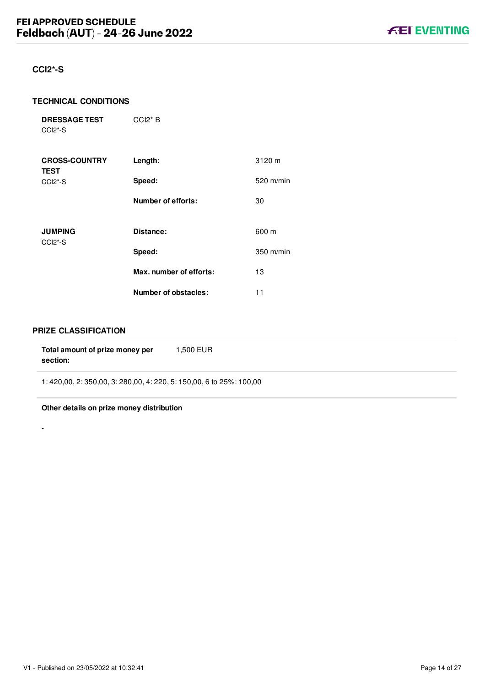# <span id="page-14-0"></span>**CCI2\*-S**

#### **TECHNICAL CONDITIONS**

**DRESSAGE TEST** CCI2\*-S CCI2\* B

| <b>CROSS-COUNTRY</b><br><b>TEST</b>                | Length:                 | 3120 m      |
|----------------------------------------------------|-------------------------|-------------|
| CCI <sub>2</sub> <sup>*</sup> -S                   | Speed:                  | $520$ m/min |
|                                                    | Number of efforts:      | 30          |
| <b>JUMPING</b><br>CCI <sub>2</sub> <sup>*</sup> -S | Distance:               | 600 m       |
|                                                    | Speed:                  | $350$ m/min |
|                                                    | Max. number of efforts: | 13          |
|                                                    | Number of obstacles:    | 11          |

## **PRIZE CLASSIFICATION**

-

| Total amount of prize money per<br>section:                    | 1.500 EUR |
|----------------------------------------------------------------|-----------|
| 1:420.00, 2:350.00, 3:280.00, 4:220, 5:150.00, 6 to 25%:100.00 |           |

**Other details on prize money distribution**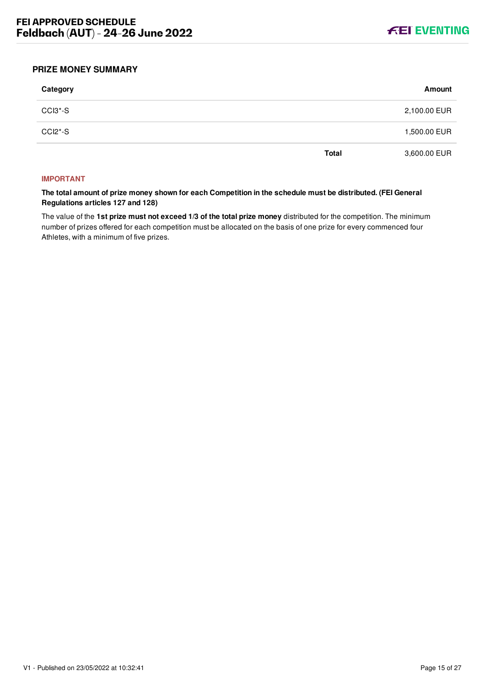

# <span id="page-15-0"></span>**PRIZE MONEY SUMMARY**

| Category |              | Amount       |
|----------|--------------|--------------|
| CCI3*-S  |              | 2,100.00 EUR |
| CCI2*-S  |              | 1,500.00 EUR |
|          | <b>Total</b> | 3,600.00 EUR |

#### **IMPORTANT**

**The total amount of prize money shown for each Competition in the schedule must be distributed. (FEI General Regulations articles 127 and 128)**

The value of the **1st prize must not exceed 1/3 of the total prize money** distributed for the competition. The minimum number of prizes offered for each competition must be allocated on the basis of one prize for every commenced four Athletes, with a minimum of five prizes.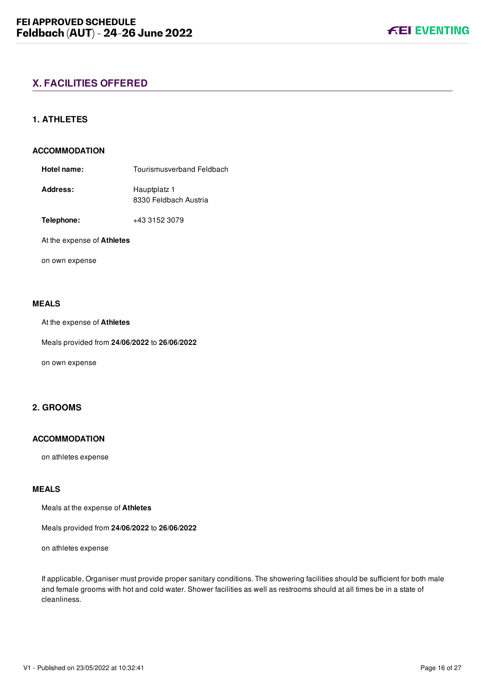# <span id="page-16-1"></span><span id="page-16-0"></span>**1. ATHLETES**

#### **ACCOMMODATION**

- **Hotel name:** Tourismusverband Feldbach Address: Hauptplatz 1 8330 Feldbach Austria
- **Telephone:** +43 3152 3079

#### At the expense of **Athletes**

on own expense

#### **MEALS**

At the expense of **Athletes**

Meals provided from **24/06/2022** to **26/06/2022**

on own expense

# <span id="page-16-2"></span>**2. GROOMS**

# **ACCOMMODATION**

on athletes expense

# **MEALS**

Meals at the expense of **Athletes**

Meals provided from **24/06/2022** to **26/06/2022**

on athletes expense

If applicable, Organiser must provide proper sanitary conditions. The showering facilities should be sufficient for both male and female grooms with hot and cold water. Shower facilities as well as restrooms should at all times be in a state of cleanliness.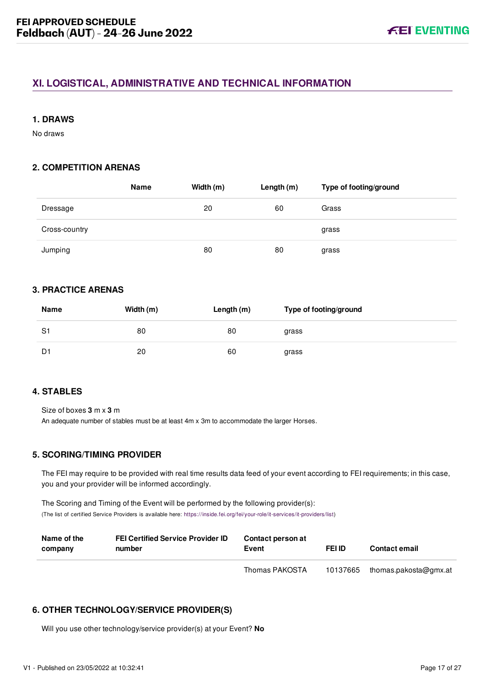# <span id="page-17-0"></span>**XI. LOGISTICAL, ADMINISTRATIVE AND TECHNICAL INFORMATION**

# <span id="page-17-1"></span>**1. DRAWS**

No draws

# <span id="page-17-2"></span>**2. COMPETITION ARENAS**

|               | Name | Width (m) | Length $(m)$ | Type of footing/ground |
|---------------|------|-----------|--------------|------------------------|
| Dressage      |      | 20        | 60           | Grass                  |
| Cross-country |      |           |              | grass                  |
| Jumping       |      | 80        | 80           | grass                  |

# <span id="page-17-3"></span>**3. PRACTICE ARENAS**

| Name | Width (m) | Length (m) | Type of footing/ground |
|------|-----------|------------|------------------------|
| S1   | 80        | 80         | grass                  |
| D1   | 20        | 60         | grass                  |

# <span id="page-17-4"></span>**4. STABLES**

Size of boxes **3** m x **3** m

An adequate number of stables must be at least 4m x 3m to accommodate the larger Horses.

# <span id="page-17-5"></span>**5. SCORING/TIMING PROVIDER**

The FEI may require to be provided with real time results data feed of your event according to FEI requirements; in this case, you and your provider will be informed accordingly.

The Scoring and Timing of the Event will be performed by the following provider(s): (The list of certified Service Providers is available here: [https://inside.fei.org/fei/your-role/it-services/it-providers/list\)](https://inside.fei.org/fei/your-role/it-services/it-providers/list)

| Name of the<br>company | <b>FEI Certified Service Provider ID</b><br>number | Contact person at<br>Event | <b>FEI ID</b> | <b>Contact email</b>  |
|------------------------|----------------------------------------------------|----------------------------|---------------|-----------------------|
|                        |                                                    | Thomas PAKOSTA             | 10137665      | thomas.pakosta@gmx.at |

# <span id="page-17-6"></span>**6. OTHER TECHNOLOGY/SERVICE PROVIDER(S)**

Will you use other technology/service provider(s) at your Event? **No**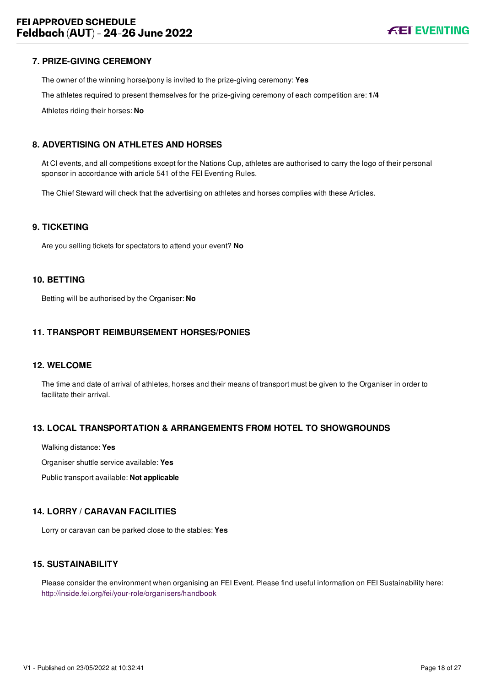## <span id="page-18-0"></span>**7. PRIZE-GIVING CEREMONY**

The owner of the winning horse/pony is invited to the prize-giving ceremony: **Yes**

The athletes required to present themselves for the prize-giving ceremony of each competition are: **1/4**

Athletes riding their horses: **No**

## <span id="page-18-1"></span>**8. ADVERTISING ON ATHLETES AND HORSES**

At CI events, and all competitions except for the Nations Cup, athletes are authorised to carry the logo of their personal sponsor in accordance with article 541 of the FEI Eventing Rules.

The Chief Steward will check that the advertising on athletes and horses complies with these Articles.

#### <span id="page-18-2"></span>**9. TICKETING**

Are you selling tickets for spectators to attend your event? **No**

#### <span id="page-18-3"></span>**10. BETTING**

Betting will be authorised by the Organiser: **No**

#### <span id="page-18-4"></span>**11. TRANSPORT REIMBURSEMENT HORSES/PONIES**

#### <span id="page-18-5"></span>**12. WELCOME**

The time and date of arrival of athletes, horses and their means of transport must be given to the Organiser in order to facilitate their arrival.

#### <span id="page-18-6"></span>**13. LOCAL TRANSPORTATION & ARRANGEMENTS FROM HOTEL TO SHOWGROUNDS**

Walking distance: **Yes**

Organiser shuttle service available: **Yes**

Public transport available: **Not applicable**

#### <span id="page-18-7"></span>**14. LORRY / CARAVAN FACILITIES**

Lorry or caravan can be parked close to the stables: **Yes**

# <span id="page-18-8"></span>**15. SUSTAINABILITY**

Please consider the environment when organising an FEI Event. Please find useful information on FEI Sustainability here: <http://inside.fei.org/fei/your-role/organisers/handbook>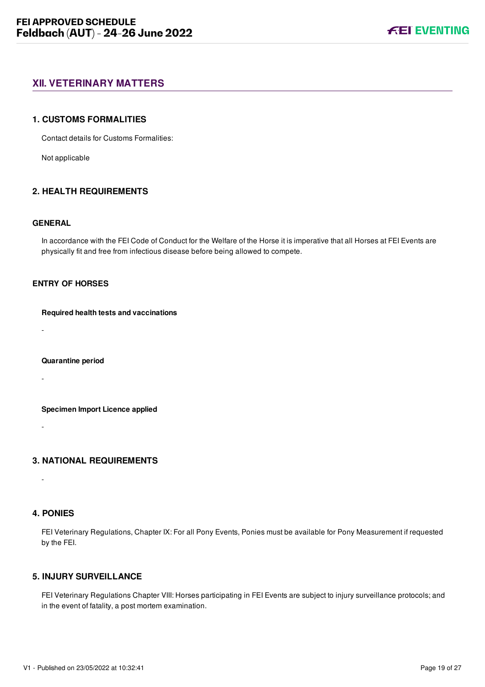# <span id="page-19-0"></span>**XII. VETERINARY MATTERS**

#### <span id="page-19-1"></span>**1. CUSTOMS FORMALITIES**

Contact details for Customs Formalities:

Not applicable

# <span id="page-19-2"></span>**2. HEALTH REQUIREMENTS**

#### **GENERAL**

In accordance with the FEI Code of Conduct for the Welfare of the Horse it is imperative that all Horses at FEI Events are physically fit and free from infectious disease before being allowed to compete.

# **ENTRY OF HORSES**

#### **Required health tests and vaccinations**

-

#### **Quarantine period**

-

#### **Specimen Import Licence applied**

-

# <span id="page-19-3"></span>**3. NATIONAL REQUIREMENTS**

# <span id="page-19-4"></span>**4. PONIES**

-

FEI Veterinary Regulations, Chapter IX: For all Pony Events, Ponies must be available for Pony Measurement if requested by the FEI.

# <span id="page-19-5"></span>**5. INJURY SURVEILLANCE**

FEI Veterinary Regulations Chapter VIII: Horses participating in FEI Events are subject to injury surveillance protocols; and in the event of fatality, a post mortem examination.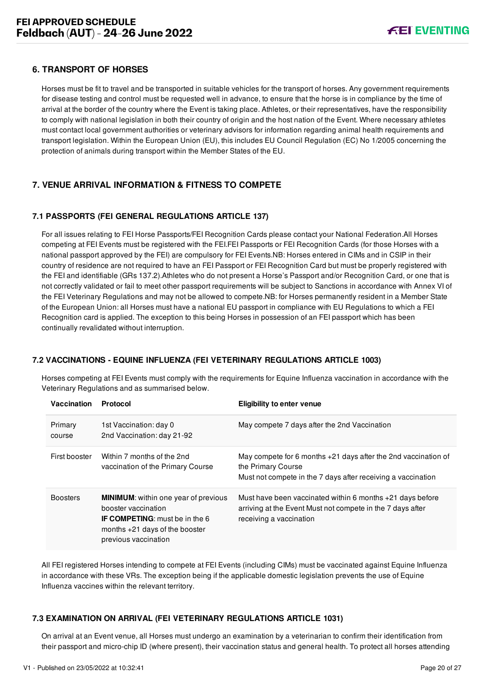# <span id="page-20-0"></span>**6. TRANSPORT OF HORSES**

Horses must be fit to travel and be transported in suitable vehicles for the transport of horses. Any government requirements for disease testing and control must be requested well in advance, to ensure that the horse is in compliance by the time of arrival at the border of the country where the Event is taking place. Athletes, or their representatives, have the responsibility to comply with national legislation in both their country of origin and the host nation of the Event. Where necessary athletes must contact local government authorities or veterinary advisors for information regarding animal health requirements and transport legislation. Within the European Union (EU), this includes EU Council Regulation (EC) No 1/2005 concerning the protection of animals during transport within the Member States of the EU.

# <span id="page-20-1"></span>**7. VENUE ARRIVAL INFORMATION & FITNESS TO COMPETE**

# <span id="page-20-2"></span>**7.1 PASSPORTS (FEI GENERAL REGULATIONS ARTICLE 137)**

For all issues relating to FEI Horse Passports/FEI Recognition Cards please contact your National Federation.All Horses competing at FEI Events must be registered with the FEI.FEI Passports or FEI Recognition Cards (for those Horses with a national passport approved by the FEI) are compulsory for FEI Events.NB: Horses entered in CIMs and in CSIP in their country of residence are not required to have an FEI Passport or FEI Recognition Card but must be properly registered with the FEI and identifiable (GRs 137.2).Athletes who do not present a Horse's Passport and/or Recognition Card, or one that is not correctly validated or fail to meet other passport requirements will be subject to Sanctions in accordance with Annex VI of the FEI Veterinary Regulations and may not be allowed to compete.NB: for Horses permanently resident in a Member State of the European Union: all Horses must have a national EU passport in compliance with EU Regulations to which a FEI Recognition card is applied. The exception to this being Horses in possession of an FEI passport which has been continually revalidated without interruption.

# <span id="page-20-3"></span>**7.2 VACCINATIONS - EQUINE INFLUENZA (FEI VETERINARY REGULATIONS ARTICLE 1003)**

Horses competing at FEI Events must comply with the requirements for Equine Influenza vaccination in accordance with the Veterinary Regulations and as summarised below.

| Vaccination       | Protocol                                                                                                                                                                | <b>Eligibility to enter venue</b>                                                                                                                      |
|-------------------|-------------------------------------------------------------------------------------------------------------------------------------------------------------------------|--------------------------------------------------------------------------------------------------------------------------------------------------------|
| Primary<br>course | 1st Vaccination: day 0<br>2nd Vaccination: day 21-92                                                                                                                    | May compete 7 days after the 2nd Vaccination                                                                                                           |
| First booster     | Within 7 months of the 2nd<br>vaccination of the Primary Course                                                                                                         | May compete for 6 months $+21$ days after the 2nd vaccination of<br>the Primary Course<br>Must not compete in the 7 days after receiving a vaccination |
| <b>Boosters</b>   | <b>MINIMUM:</b> within one year of previous<br>booster vaccination<br><b>IF COMPETING:</b> must be in the 6<br>months $+21$ days of the booster<br>previous vaccination | Must have been vaccinated within 6 months $+21$ days before<br>arriving at the Event Must not compete in the 7 days after<br>receiving a vaccination   |

All FEI registered Horses intending to compete at FEI Events (including CIMs) must be vaccinated against Equine Influenza in accordance with these VRs. The exception being if the applicable domestic legislation prevents the use of Equine Influenza vaccines within the relevant territory.

# <span id="page-20-4"></span>**7.3 EXAMINATION ON ARRIVAL (FEI VETERINARY REGULATIONS ARTICLE 1031)**

On arrival at an Event venue, all Horses must undergo an examination by a veterinarian to confirm their identification from their passport and micro-chip ID (where present), their vaccination status and general health. To protect all horses attending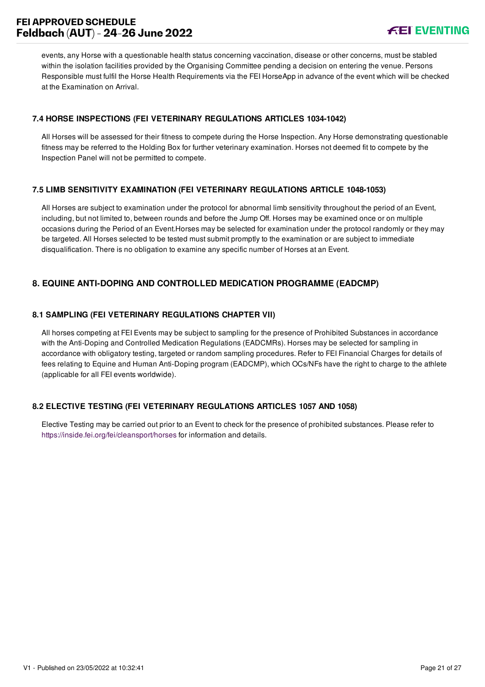# **FEI APPROVED SCHEDULE Feldbach (AUT) - 24-26 June 2022**



events, any Horse with a questionable health status concerning vaccination, disease or other concerns, must be stabled within the isolation facilities provided by the Organising Committee pending a decision on entering the venue. Persons Responsible must fulfil the Horse Health Requirements via the FEI HorseApp in advance of the event which will be checked at the Examination on Arrival.

# <span id="page-21-0"></span>**7.4 HORSE INSPECTIONS (FEI VETERINARY REGULATIONS ARTICLES 1034-1042)**

All Horses will be assessed for their fitness to compete during the Horse Inspection. Any Horse demonstrating questionable fitness may be referred to the Holding Box for further veterinary examination. Horses not deemed fit to compete by the Inspection Panel will not be permitted to compete.

# <span id="page-21-1"></span>**7.5 LIMB SENSITIVITY EXAMINATION (FEI VETERINARY REGULATIONS ARTICLE 1048-1053)**

All Horses are subject to examination under the protocol for abnormal limb sensitivity throughout the period of an Event, including, but not limited to, between rounds and before the Jump Off. Horses may be examined once or on multiple occasions during the Period of an Event.Horses may be selected for examination under the protocol randomly or they may be targeted. All Horses selected to be tested must submit promptly to the examination or are subject to immediate disqualification. There is no obligation to examine any specific number of Horses at an Event.

# <span id="page-21-2"></span>**8. EQUINE ANTI-DOPING AND CONTROLLED MEDICATION PROGRAMME (EADCMP)**

# <span id="page-21-3"></span>**8.1 SAMPLING (FEI VETERINARY REGULATIONS CHAPTER VII)**

All horses competing at FEI Events may be subject to sampling for the presence of Prohibited Substances in accordance with the Anti-Doping and Controlled Medication Regulations (EADCMRs). Horses may be selected for sampling in accordance with obligatory testing, targeted or random sampling procedures. Refer to FEI Financial Charges for details of fees relating to Equine and Human Anti-Doping program (EADCMP), which OCs/NFs have the right to charge to the athlete (applicable for all FEI events worldwide).

# <span id="page-21-4"></span>**8.2 ELECTIVE TESTING (FEI VETERINARY REGULATIONS ARTICLES 1057 AND 1058)**

Elective Testing may be carried out prior to an Event to check for the presence of prohibited substances. Please refer to <https://inside.fei.org/fei/cleansport/horses>for information and details.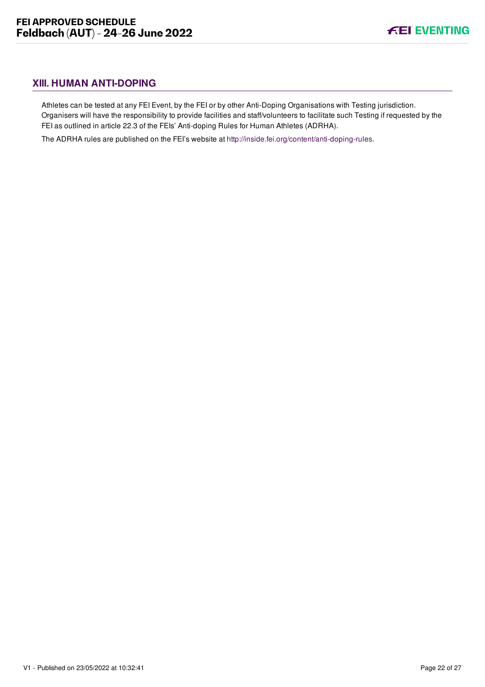# <span id="page-22-0"></span>**XIII. HUMAN ANTI-DOPING**

Athletes can be tested at any FEI Event, by the FEI or by other Anti-Doping Organisations with Testing jurisdiction. Organisers will have the responsibility to provide facilities and staff/volunteers to facilitate such Testing if requested by the FEI as outlined in article 22.3 of the FEIs' Anti-doping Rules for Human Athletes (ADRHA).

The ADRHA rules are published on the FEI's website at [http://inside.fei.org/content/anti-doping-rules.](http://inside.fei.org/content/anti-doping-rules)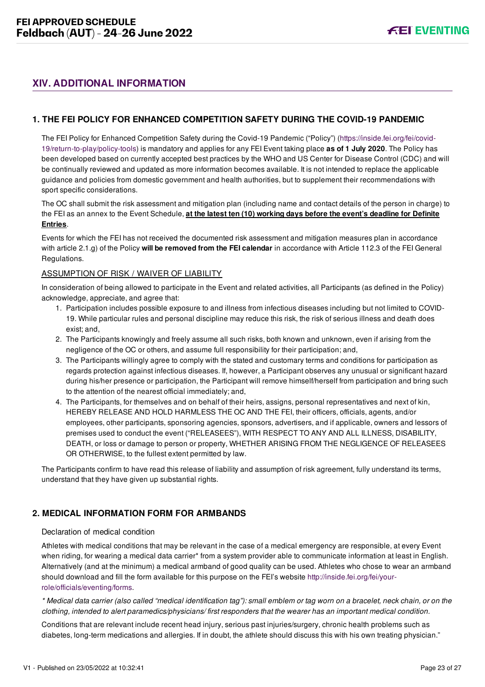# <span id="page-23-0"></span>**XIV. ADDITIONAL INFORMATION**

# <span id="page-23-1"></span>**1. THE FEI POLICY FOR ENHANCED COMPETITION SAFETY DURING THE COVID-19 PANDEMIC**

[The FEI Policy for Enhanced Competition Safety during the Covid-19 Pandemic \("Policy"\) \(https://inside.fei.org/fei/covid-](https://inside.fei.org/fei/covid-19/return-to-play/policy-tools)19/return-to-play/policy-tools) is mandatory and applies for any FEI Event taking place **as of 1 July 2020**. The Policy has been developed based on currently accepted best practices by the WHO and US Center for Disease Control (CDC) and will be continually reviewed and updated as more information becomes available. It is not intended to replace the applicable guidance and policies from domestic government and health authorities, but to supplement their recommendations with sport specific considerations.

The OC shall submit the risk assessment and mitigation plan (including name and contact details of the person in charge) to the FEI as an annex to the Event Schedule, **at the latest ten (10) working days before the event's deadline for Definite Entries**.

Events for which the FEI has not received the documented risk assessment and mitigation measures plan in accordance with article 2.1.g) of the Policy **will be removed from the FEI calendar** in accordance with Article 112.3 of the FEI General Regulations.

#### ASSUMPTION OF RISK / WAIVER OF LIABILITY

In consideration of being allowed to participate in the Event and related activities, all Participants (as defined in the Policy) acknowledge, appreciate, and agree that:

- 1. Participation includes possible exposure to and illness from infectious diseases including but not limited to COVID-19. While particular rules and personal discipline may reduce this risk, the risk of serious illness and death does exist; and,
- 2. The Participants knowingly and freely assume all such risks, both known and unknown, even if arising from the negligence of the OC or others, and assume full responsibility for their participation; and,
- 3. The Participants willingly agree to comply with the stated and customary terms and conditions for participation as regards protection against infectious diseases. If, however, a Participant observes any unusual or significant hazard during his/her presence or participation, the Participant will remove himself/herself from participation and bring such to the attention of the nearest official immediately; and,
- 4. The Participants, for themselves and on behalf of their heirs, assigns, personal representatives and next of kin, HEREBY RELEASE AND HOLD HARMLESS THE OC AND THE FEI, their officers, officials, agents, and/or employees, other participants, sponsoring agencies, sponsors, advertisers, and if applicable, owners and lessors of premises used to conduct the event ("RELEASEES"), WITH RESPECT TO ANY AND ALL ILLNESS, DISABILITY, DEATH, or loss or damage to person or property, WHETHER ARISING FROM THE NEGLIGENCE OF RELEASEES OR OTHERWISE, to the fullest extent permitted by law.

The Participants confirm to have read this release of liability and assumption of risk agreement, fully understand its terms, understand that they have given up substantial rights.

# <span id="page-23-2"></span>**2. MEDICAL INFORMATION FORM FOR ARMBANDS**

#### Declaration of medical condition

Athletes with medical conditions that may be relevant in the case of a medical emergency are responsible, at every Event when riding, for wearing a medical data carrier\* from a system provider able to communicate information at least in English. Alternatively (and at the minimum) a medical armband of good quality can be used. Athletes who chose to wear an armband [should download and fill the form available for this purpose on the FEI's website http://inside.fei.org/fei/your](http://inside.fei.org/fei/your-role/officials/eventing/forms)role/officials/eventing/forms.

*\* Medical data carrier (also called "medical identification tag"): small emblem or tag worn on a bracelet, neck chain, or on the clothing, intended to alert paramedics/physicians/ first responders that the wearer has an important medical condition.*

Conditions that are relevant include recent head injury, serious past injuries/surgery, chronic health problems such as diabetes, long-term medications and allergies. If in doubt, the athlete should discuss this with his own treating physician."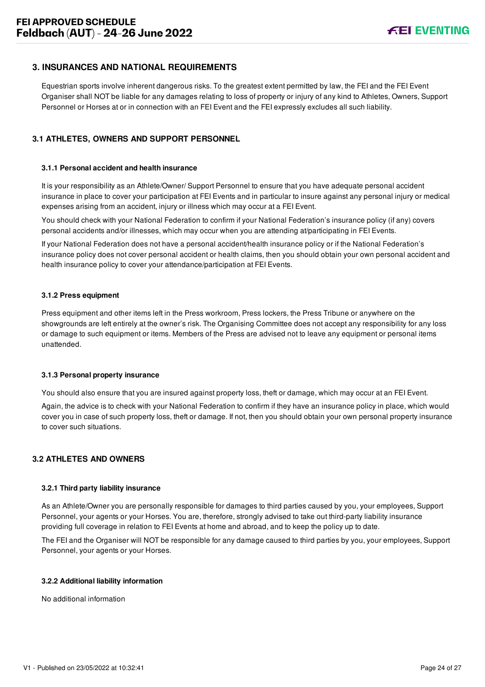# <span id="page-24-0"></span>**3. INSURANCES AND NATIONAL REQUIREMENTS**

Equestrian sports involve inherent dangerous risks. To the greatest extent permitted by law, the FEI and the FEI Event Organiser shall NOT be liable for any damages relating to loss of property or injury of any kind to Athletes, Owners, Support Personnel or Horses at or in connection with an FEI Event and the FEI expressly excludes all such liability.

# <span id="page-24-1"></span>**3.1 ATHLETES, OWNERS AND SUPPORT PERSONNEL**

#### **3.1.1 Personal accident and health insurance**

It is your responsibility as an Athlete/Owner/ Support Personnel to ensure that you have adequate personal accident insurance in place to cover your participation at FEI Events and in particular to insure against any personal injury or medical expenses arising from an accident, injury or illness which may occur at a FEI Event.

You should check with your National Federation to confirm if your National Federation's insurance policy (if any) covers personal accidents and/or illnesses, which may occur when you are attending at/participating in FEI Events.

If your National Federation does not have a personal accident/health insurance policy or if the National Federation's insurance policy does not cover personal accident or health claims, then you should obtain your own personal accident and health insurance policy to cover your attendance/participation at FEI Events.

#### **3.1.2 Press equipment**

Press equipment and other items left in the Press workroom, Press lockers, the Press Tribune or anywhere on the showgrounds are left entirely at the owner's risk. The Organising Committee does not accept any responsibility for any loss or damage to such equipment or items. Members of the Press are advised not to leave any equipment or personal items unattended.

#### **3.1.3 Personal property insurance**

You should also ensure that you are insured against property loss, theft or damage, which may occur at an FEI Event.

Again, the advice is to check with your National Federation to confirm if they have an insurance policy in place, which would cover you in case of such property loss, theft or damage. If not, then you should obtain your own personal property insurance to cover such situations.

#### <span id="page-24-2"></span>**3.2 ATHLETES AND OWNERS**

#### **3.2.1 Third party liability insurance**

As an Athlete/Owner you are personally responsible for damages to third parties caused by you, your employees, Support Personnel, your agents or your Horses. You are, therefore, strongly advised to take out third-party liability insurance providing full coverage in relation to FEI Events at home and abroad, and to keep the policy up to date.

The FEI and the Organiser will NOT be responsible for any damage caused to third parties by you, your employees, Support Personnel, your agents or your Horses.

#### **3.2.2 Additional liability information**

No additional information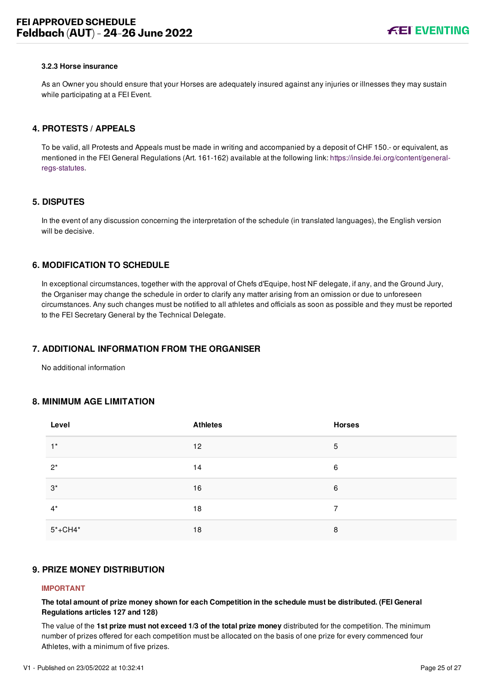#### **3.2.3 Horse insurance**

As an Owner you should ensure that your Horses are adequately insured against any injuries or illnesses they may sustain while participating at a FEI Event.

## <span id="page-25-0"></span>**4. PROTESTS / APPEALS**

To be valid, all Protests and Appeals must be made in writing and accompanied by a deposit of CHF 150.- or equivalent, as [mentioned in the FEI General Regulations \(Art. 161-162\) available at the following link: https://inside.fei.org/content/general](https://inside.fei.org/content/general-regs-statutes)regs-statutes.

#### <span id="page-25-1"></span>**5. DISPUTES**

In the event of any discussion concerning the interpretation of the schedule (in translated languages), the English version will be decisive.

# <span id="page-25-2"></span>**6. MODIFICATION TO SCHEDULE**

In exceptional circumstances, together with the approval of Chefs d'Equipe, host NF delegate, if any, and the Ground Jury, the Organiser may change the schedule in order to clarify any matter arising from an omission or due to unforeseen circumstances. Any such changes must be notified to all athletes and officials as soon as possible and they must be reported to the FEI Secretary General by the Technical Delegate.

# <span id="page-25-3"></span>**7. ADDITIONAL INFORMATION FROM THE ORGANISER**

No additional information

#### <span id="page-25-4"></span>**8. MINIMUM AGE LIMITATION**

| Level       | <b>Athletes</b> | <b>Horses</b> |
|-------------|-----------------|---------------|
| $1^*$       | 12              | 5             |
| $2^*$       | 14              | 6             |
| $3^*$       | 16              | 6             |
| $4^*$       | 18              | 7             |
| $5* + CH4*$ | 18              | 8             |

# <span id="page-25-5"></span>**9. PRIZE MONEY DISTRIBUTION**

#### **IMPORTANT**

**The total amount of prize money shown for each Competition in the schedule must be distributed. (FEI General Regulations articles 127 and 128)**

The value of the **1st prize must not exceed 1/3 of the total prize money** distributed for the competition. The minimum number of prizes offered for each competition must be allocated on the basis of one prize for every commenced four Athletes, with a minimum of five prizes.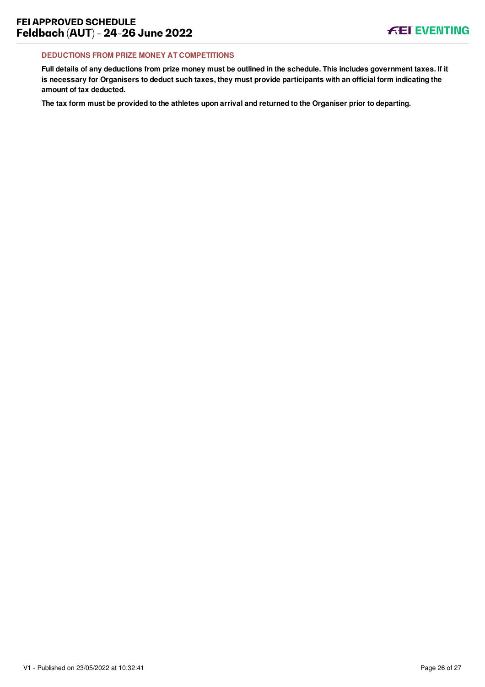## **DEDUCTIONS FROM PRIZE MONEY AT COMPETITIONS**

**Full details of any deductions from prize money must be outlined in the schedule. This includes government taxes. If it is necessary for Organisers to deduct such taxes, they must provide participants with an official form indicating the amount of tax deducted.**

**The tax form must be provided to the athletes upon arrival and returned to the Organiser prior to departing.**